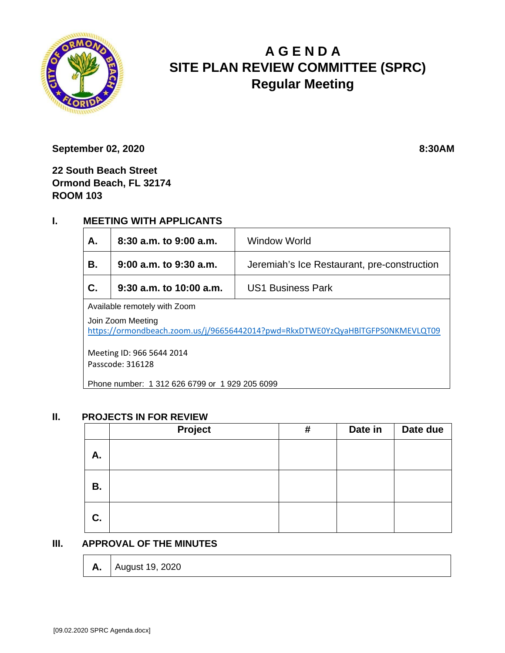

# **A G E N D A SITE PLAN REVIEW COMMITTEE (SPRC) Regular Meeting**

**September 02, 2020** 8:30AM

**22 South Beach Street Ormond Beach, FL 32174 ROOM 103**

## **I. MEETING WITH APPLICANTS**

| А.                                                                                                  | $8:30$ a.m. to $9:00$ a.m. | Window World                                |  |  |  |
|-----------------------------------------------------------------------------------------------------|----------------------------|---------------------------------------------|--|--|--|
| В.                                                                                                  | $9:00$ a.m. to $9:30$ a.m. | Jeremiah's Ice Restaurant, pre-construction |  |  |  |
| С.                                                                                                  | $9:30$ a.m. to 10:00 a.m.  | US1 Business Park                           |  |  |  |
| Available remotely with Zoom                                                                        |                            |                                             |  |  |  |
| Join Zoom Meeting<br>https://ormondbeach.zoom.us/j/96656442014?pwd=RkxDTWE0YzQyaHBlTGFPS0NKMEVLQT09 |                            |                                             |  |  |  |
| Meeting ID: 966 5644 2014<br>Passcode: 316128                                                       |                            |                                             |  |  |  |
| Phone number: 1 312 626 6799 or 1 929 205 6099                                                      |                            |                                             |  |  |  |

#### **II. PROJECTS IN FOR REVIEW**

|           | Project | # | Date in | Date due |
|-----------|---------|---|---------|----------|
| А.        |         |   |         |          |
| <b>B.</b> |         |   |         |          |
| C.        |         |   |         |          |

#### **III. APPROVAL OF THE MINUTES**

| <b>A.</b>   August 19, 2020 |
|-----------------------------|
|-----------------------------|